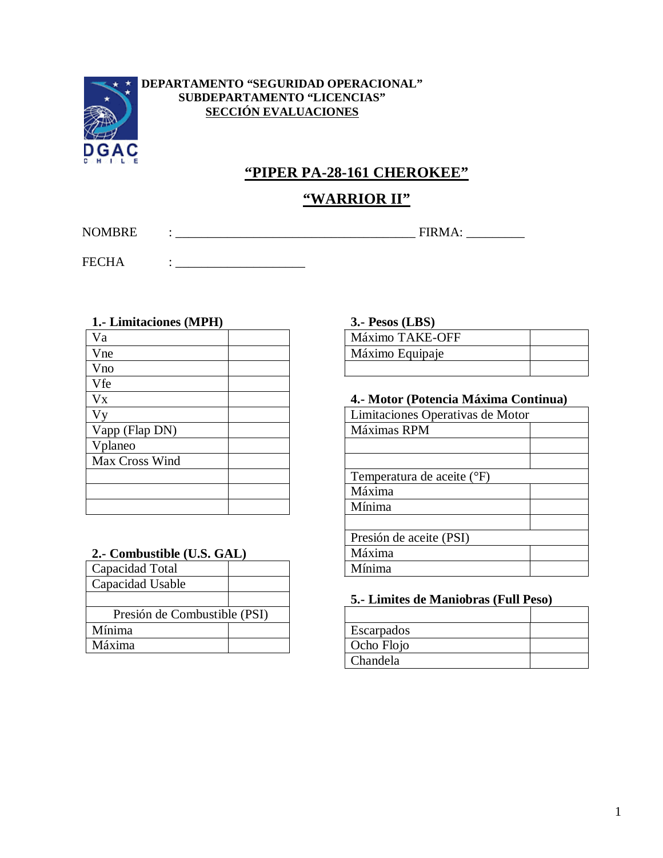

## **DEPARTAMENTO "SEGURIDAD OPERACIONAL" SUBDEPARTAMENTO "LICENCIAS" SECCIÓN EVALUACIONES**

# **"PIPER PA-28-161 CHEROKEE"**

# **"WARRIOR II"**

NOMBRE : \_\_\_\_\_\_\_\_\_\_\_\_\_\_\_\_\_\_\_\_\_\_\_\_\_\_\_\_\_\_\_\_\_\_\_\_\_ FIRMA: \_\_\_\_\_\_\_\_\_

FECHA : \_\_\_\_\_\_\_\_\_\_\_\_\_\_\_\_\_\_\_\_

| 1.- Limitaciones (MPH) | $3.$ - Pesos (LBS)               |
|------------------------|----------------------------------|
| Va                     | Máximo TAKE-OFF                  |
| Vne                    | Máximo Equipaje                  |
| Vno                    |                                  |
| <b>V</b> fe            |                                  |
| <b>V<sub>x</sub></b>   | 4.- Motor (Potencia Máxima Cor   |
| Vv                     | Limitaciones Operativas de Motor |
| Vapp (Flap DN)         | Máximas RPM                      |
| Vplaneo                |                                  |
| Max Cross Wind         |                                  |
|                        | Temperatura de aceite (°F)       |
|                        | Máxima                           |
|                        | Mínima                           |

#### **2.- Combustible (U.S. GAL)**

| Capacidad Total              |  | Mínima      |
|------------------------------|--|-------------|
| Capacidad Usable             |  |             |
|                              |  | 5.- Limites |
| Presión de Combustible (PSI) |  |             |
| Mínima                       |  | Escarpados  |
| Máxima                       |  | Ocho Flojo  |
|                              |  |             |

#### **1.- Limitaciones (MPH) 3.- Pesos (LBS)**

| Máximo TAKE-OFF |  |
|-----------------|--|
| Máximo Equipaje |  |
|                 |  |

## 4.- Motor (Potencia Máxima Continua)

| Limitaciones Operativas de Motor |  |  |
|----------------------------------|--|--|
| Máximas RPM                      |  |  |
|                                  |  |  |
|                                  |  |  |
| Temperatura de aceite (°F)       |  |  |
| Máxima                           |  |  |
| Mínima                           |  |  |
|                                  |  |  |
| Presión de aceite (PSI)          |  |  |
| Máxima                           |  |  |
| Mínima                           |  |  |

# **5.- Limites de Maniobras (Full Peso)**

| Escarpados |  |
|------------|--|
| Ocho Flojo |  |
| Chandela   |  |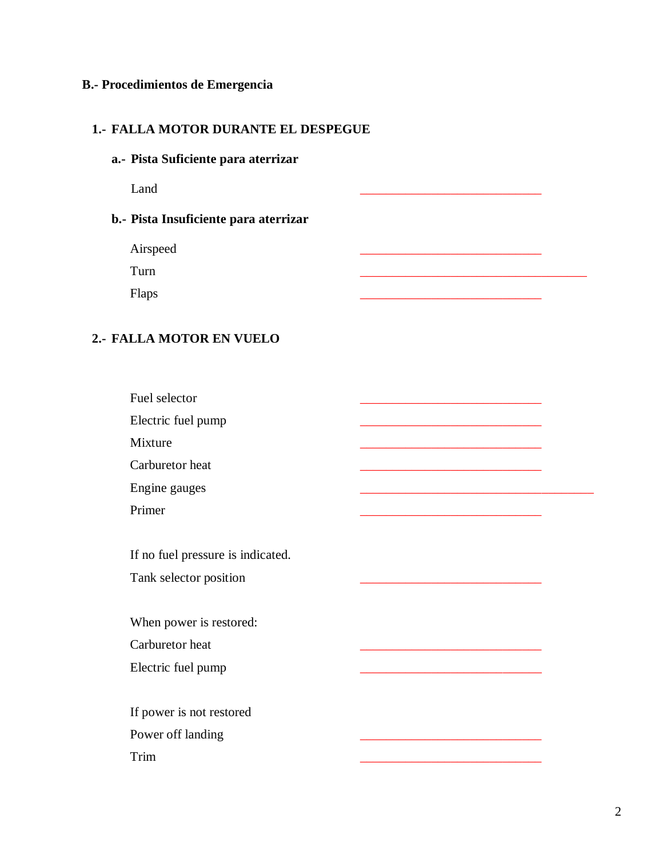#### **B.- Procedimientos de Emergencia**

#### **1.- FALLA MOTOR DURANTE EL DESPEGUE**

**a.- Pista Suficiente para aterrizar**

Land \_\_\_\_\_\_\_\_\_\_\_\_\_\_\_\_\_\_\_\_\_\_\_\_\_\_\_\_

## **b.- Pista Insuficiente para aterrizar**

Airspeed

Turn \_\_\_\_\_\_\_\_\_\_\_\_\_\_\_\_\_\_\_\_\_\_\_\_\_\_\_\_\_\_\_\_\_\_\_

Flaps \_\_\_\_\_\_\_\_\_\_\_\_\_\_\_\_\_\_\_\_\_\_\_\_\_\_\_\_

## **2.- FALLA MOTOR EN VUELO**

Fuel selector

Electric fuel pump

Mixture <u>\_\_\_\_\_\_\_\_\_\_\_\_\_\_\_\_\_\_\_\_\_\_\_\_\_\_\_\_\_\_\_\_\_\_</u>

Carburetor heat

Engine gauges

Primer <u>\_\_\_\_\_\_\_\_\_\_\_\_\_\_\_\_\_\_\_\_\_\_\_\_\_\_\_\_\_\_\_\_\_</u>

If no fuel pressure is indicated. Tank selector position

When power is restored: Carburetor heat

Electric fuel pump

If power is not restored Power off landing Trim <u>\_\_\_\_\_\_\_\_\_\_\_\_\_\_\_\_\_\_\_\_\_\_\_\_\_\_\_\_\_\_\_\_\_\_\_</u>